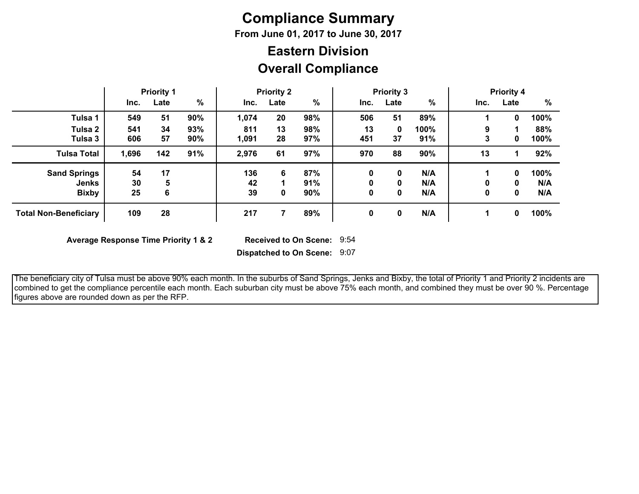# **Compliance Summary**

**From June 01, 2017 to June 30, 2017**

## **Overall Compliance Eastern Division**

|                              | <b>Priority 1</b> |      | <b>Priority 2</b> |       |      | <b>Priority 3</b> |      |      | <b>Priority 4</b> |      |      |      |
|------------------------------|-------------------|------|-------------------|-------|------|-------------------|------|------|-------------------|------|------|------|
|                              | Inc.              | Late | %                 | Inc.  | Late | %                 | Inc. | Late | %                 | Inc. | Late | %    |
| Tulsa 1                      | 549               | 51   | 90%               | 1,074 | 20   | 98%               | 506  | 51   | 89%               |      | 0    | 100% |
| Tulsa 2                      | 541               | 34   | 93%               | 811   | 13   | 98%               | 13   | 0    | 100%              | 9    |      | 88%  |
| Tulsa 3                      | 606               | 57   | 90%               | 1,091 | 28   | 97%               | 451  | 37   | 91%               | 3    | 0    | 100% |
| <b>Tulsa Total</b>           | 1,696             | 142  | 91%               | 2,976 | 61   | 97%               | 970  | 88   | 90%               | 13   |      | 92%  |
| <b>Sand Springs</b>          | 54                | 17   |                   | 136   | 6    | 87%               | 0    | 0    | N/A               |      | 0    | 100% |
| Jenks                        | 30                | 5    |                   | 42    |      | 91%               | 0    | 0    | N/A               | 0    | 0    | N/A  |
| <b>Bixby</b>                 | 25                | 6    |                   | 39    | 0    | 90%               | 0    | 0    | N/A               | 0    | 0    | N/A  |
| <b>Total Non-Beneficiary</b> | 109               | 28   |                   | 217   |      | 89%               | 0    | 0    | N/A               |      | 0    | 100% |

**Average Response Time Priority 1 & 2** 

Received to On Scene: 9:54

**Dispatched to On Scene:** 9:07

 The beneficiary city of Tulsa must be above 90% each month. In the suburbs of Sand Springs, Jenks and Bixby, the total of Priority 1 and Priority 2 incidents are combined to get the compliance percentile each month. Each suburban city must be above 75% each month, and combined they must be over 90 %. Percentage figures above are rounded down as per the RFP.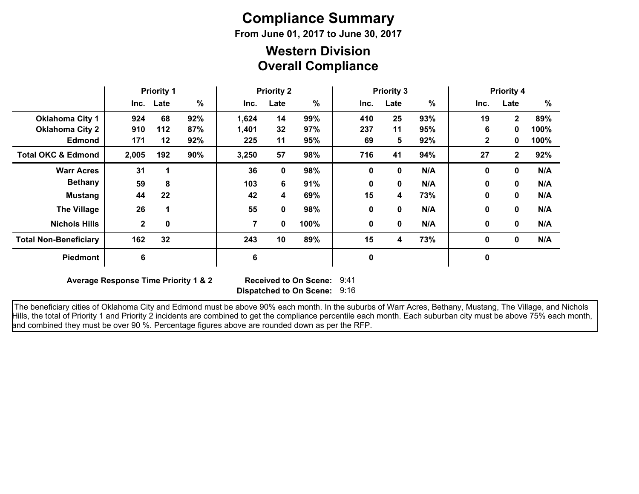# **Compliance Summary**

**From June 01, 2017 to June 30, 2017**

### **Overall Compliance Western Division**

|                               | <b>Priority 1</b> |             | <b>Priority 2</b> |       |      | <b>Priority 3</b> |      |          |               | <b>Priority 4</b> |              |      |
|-------------------------------|-------------------|-------------|-------------------|-------|------|-------------------|------|----------|---------------|-------------------|--------------|------|
|                               |                   | Inc. Late   | %                 | Inc.  | Late | %                 | Inc. | Late     | $\frac{9}{6}$ | Inc.              | Late         | $\%$ |
| <b>Oklahoma City 1</b>        | 924               | 68          | 92%               | 1,624 | 14   | 99%               | 410  | 25       | 93%           | 19                | $\mathbf{2}$ | 89%  |
| <b>Oklahoma City 2</b>        | 910               | 112         | 87%               | 1,401 | 32   | 97%               | 237  | 11       | 95%           | 6                 | 0            | 100% |
| <b>Edmond</b>                 | 171               | 12          | 92%               | 225   | 11   | 95%               | 69   | 5        | 92%           | $\mathbf{2}$      | 0            | 100% |
| <b>Total OKC &amp; Edmond</b> | 2,005             | 192         | 90%               | 3,250 | 57   | 98%               | 716  | 41       | 94%           | 27                | $\mathbf{2}$ | 92%  |
| <b>Warr Acres</b>             | 31                |             |                   | 36    | 0    | 98%               | 0    | $\bf{0}$ | N/A           | $\mathbf{0}$      | 0            | N/A  |
| <b>Bethany</b>                | 59                | 8           |                   | 103   | 6    | 91%               | 0    | $\bf{0}$ | N/A           | $\mathbf{0}$      | 0            | N/A  |
| <b>Mustang</b>                | 44                | 22          |                   | 42    | 4    | 69%               | 15   | 4        | 73%           | 0                 | 0            | N/A  |
| <b>The Village</b>            | 26                |             |                   | 55    | 0    | 98%               | 0    | 0        | N/A           | $\bf{0}$          | 0            | N/A  |
| <b>Nichols Hills</b>          | $\mathbf{2}$      | $\mathbf 0$ |                   | 7     | 0    | 100%              | 0    | 0        | N/A           | $\mathbf{0}$      | 0            | N/A  |
| <b>Total Non-Beneficiary</b>  | 162               | 32          |                   | 243   | 10   | 89%               | 15   | 4        | 73%           | $\mathbf 0$       | $\mathbf{0}$ | N/A  |
| <b>Piedmont</b>               | 6                 |             |                   | 6     |      |                   | 0    |          |               | $\mathbf 0$       |              |      |

**Average Response Time Priority 1 & 2** 

**Dispatched to On Scene:** 9:16 Received to On Scene: 9:41

 The beneficiary cities of Oklahoma City and Edmond must be above 90% each month. In the suburbs of Warr Acres, Bethany, Mustang, The Village, and Nichols Hills, the total of Priority 1 and Priority 2 incidents are combined to get the compliance percentile each month. Each suburban city must be above 75% each month, and combined they must be over 90 %. Percentage figures above are rounded down as per the RFP.